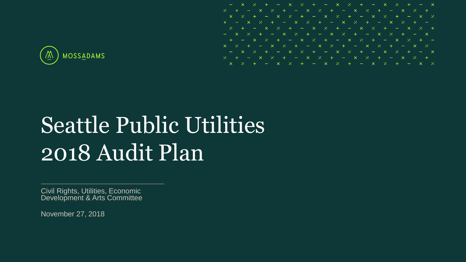

- 7.

# Seattle Public Utilities 2018 Audit Plan

Civil Rights, Utilities, Economic Development & Arts Committee

November 27, 2018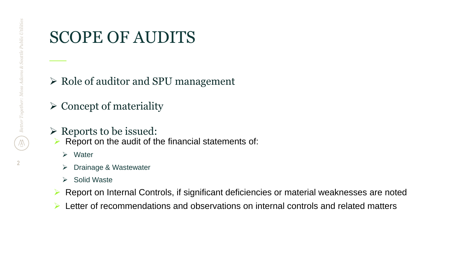### SCOPE OF AUDITS

- $\triangleright$  Role of auditor and SPU management
- $\triangleright$  Concept of materiality
- $\triangleright$  Reports to be issued:
- $\triangleright$  Report on the audit of the financial statements of:
	- $\triangleright$  Water
	- **▶ Drainage & Wastewater**
	- $\triangleright$  Solid Waste
- Report on Internal Controls, if significant deficiencies or material weaknesses are noted
- $\triangleright$  Letter of recommendations and observations on internal controls and related matters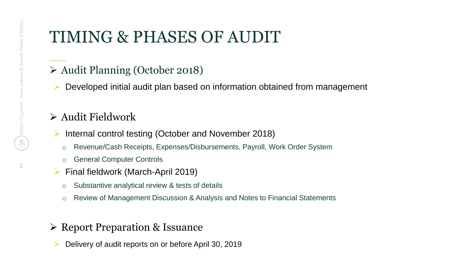# TIMING & PHASES OF AUDIT

- Audit Planning (October 2018)
- $\triangleright$  Developed initial audit plan based on information obtained from management

#### $\triangleright$  Audit Fieldwork

- $\triangleright$  Internal control testing (October and November 2018)
	- o Revenue/Cash Receipts, Expenses/Disbursements, Payroll, Work Order System
	- o General Computer Controls
- $\triangleright$  Final fieldwork (March-April 2019)
	- o Substantive analytical review & tests of details
	- o Review of Management Discussion & Analysis and Notes to Financial Statements
- **► Report Preparation & Issuance** 
	- Delivery of audit reports on or before April 30, 2019

**3**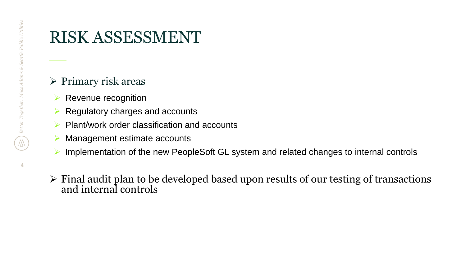**4**

### RISK ASSESSMENT

#### $\triangleright$  Primary risk areas

- $\triangleright$  Revenue recognition
- $\triangleright$  Regulatory charges and accounts
- $\triangleright$  Plant/work order classification and accounts
- **▶ Management estimate accounts**
- ▶ Implementation of the new PeopleSoft GL system and related changes to internal controls
- $\triangleright$  Final audit plan to be developed based upon results of our testing of transactions and internal controls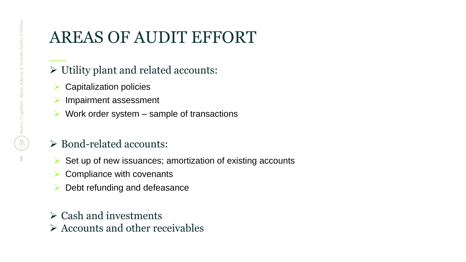# AREAS OF AUDIT EFFORT

- $\triangleright$  Utility plant and related accounts:
- $\triangleright$  Capitalization policies
- $\triangleright$  Impairment assessment
- $\triangleright$  Work order system sample of transactions

#### Bond-related accounts:

- $\triangleright$  Set up of new issuances; amortization of existing accounts
- $\triangleright$  Compliance with covenants
- $\triangleright$  Debt refunding and defeasance
- $\triangleright$  Cash and investments
- $\triangleright$  Accounts and other receivables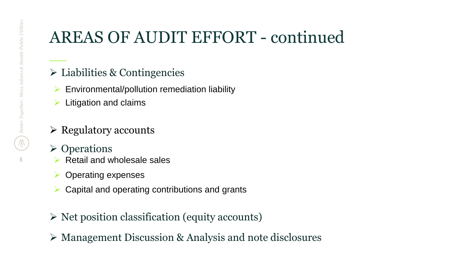# AREAS OF AUDIT EFFORT - continued

- $\triangleright$  Liabilities & Contingencies
- $\triangleright$  Environmental/pollution remediation liability
- $\triangleright$  Litigation and claims
- $\triangleright$  Regulatory accounts
- **≻** Operations
	- $\triangleright$  Retail and wholesale sales
- $\triangleright$  Operating expenses
- $\triangleright$  Capital and operating contributions and grants
- $\triangleright$  Net position classification (equity accounts)
- Management Discussion & Analysis and note disclosures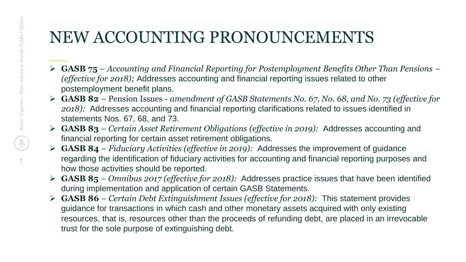### NEW ACCOUNTING PRONOUNCEMENTS

- **GASB 75**  *Accounting and Financial Reporting for Postemployment Benefits Other Than Pensions – (effective for 2018);* Addresses accounting and financial reporting issues related to other postemployment benefit plans.
- **GASB 82**  Pension Issues *amendment of GASB Statements No. 67, No. 68, and No. 73 (effective for 2018):* Addresses accounting and financial reporting clarifications related to issues identified in statements Nos. 67, 68, and 73.
- **GASB 83**  *Certain Asset Retirement Obligations (effective in 2019):* Addresses accounting and financial reporting for certain asset retirement obligations.
- **GASB 84**  *Fiduciary Activities (effective in 2019):* Addresses the improvement of guidance regarding the identification of fiduciary activities for accounting and financial reporting purposes and how those activities should be reported.
- **GASB 85**  *Omnibus 2017 (effective for 2018):* Addresses practice issues that have been identified during implementation and application of certain GASB Statements.
- **GASB 86**  *Certain Debt Extinguishment Issues (effective for 2018):* This statement provides guidance for transactions in which cash and other monetary assets acquired with only existing resources, that is, resources other than the proceeds of refunding debt, are placed in an irrevocable trust for the sole purpose of extinguishing debt.

**7**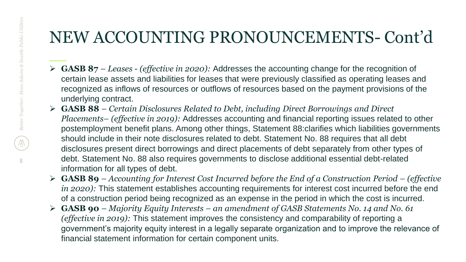### NEW ACCOUNTING PRONOUNCEMENTS- Cont'd

- **GASB 87**  *Leases (effective in 2020):* Addresses the accounting change for the recognition of certain lease assets and liabilities for leases that were previously classified as operating leases and recognized as inflows of resources or outflows of resources based on the payment provisions of the underlying contract.
- **GASB 88**  *Certain Disclosures Related to Debt, including Direct Borrowings and Direct Placements– (effective in 2019):* Addresses accounting and financial reporting issues related to other postemployment benefit plans. Among other things, Statement 88:clarifies which liabilities governments should include in their note disclosures related to debt. Statement No. 88 requires that all debt disclosures present direct borrowings and direct placements of debt separately from other types of debt. Statement No. 88 also requires governments to disclose additional essential debt-related information for all types of debt.
- **GASB 89**  *Accounting for Interest Cost Incurred before the End of a Construction Period – (effective in 2020):* This statement establishes accounting requirements for interest cost incurred before the end of a construction period being recognized as an expense in the period in which the cost is incurred.
- **GASB 90**  *Majority Equity Interests – an amendment of GASB Statements No. 14 and No. 61 (effective in 2019):* This statement improves the consistency and comparability of reporting a government's majority equity interest in a legally separate organization and to improve the relevance of financial statement information for certain component units.

**8**